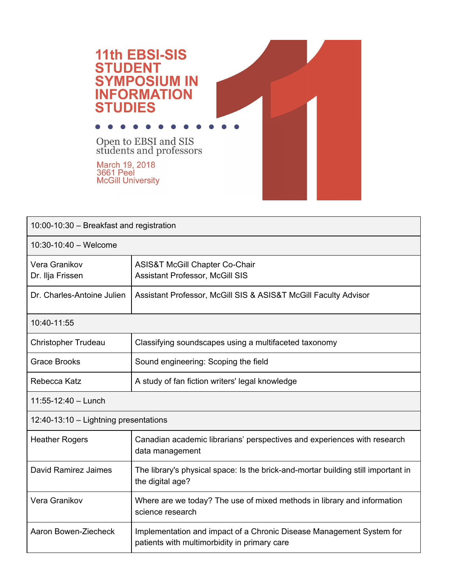

| 10:00-10:30 - Breakfast and registration |                                                                                                                      |  |
|------------------------------------------|----------------------------------------------------------------------------------------------------------------------|--|
| 10:30-10:40 - Welcome                    |                                                                                                                      |  |
| Vera Granikov<br>Dr. Ilja Frissen        | <b>ASIS&amp;T McGill Chapter Co-Chair</b><br><b>Assistant Professor, McGill SIS</b>                                  |  |
| Dr. Charles-Antoine Julien               | Assistant Professor, McGill SIS & ASIS&T McGill Faculty Advisor                                                      |  |
| 10:40-11:55                              |                                                                                                                      |  |
| <b>Christopher Trudeau</b>               | Classifying soundscapes using a multifaceted taxonomy                                                                |  |
| <b>Grace Brooks</b>                      | Sound engineering: Scoping the field                                                                                 |  |
| Rebecca Katz                             | A study of fan fiction writers' legal knowledge                                                                      |  |
| 11:55-12:40 - Lunch                      |                                                                                                                      |  |
| 12:40-13:10 - Lightning presentations    |                                                                                                                      |  |
| <b>Heather Rogers</b>                    | Canadian academic librarians' perspectives and experiences with research<br>data management                          |  |
| David Ramirez Jaimes                     | The library's physical space: Is the brick-and-mortar building still important in<br>the digital age?                |  |
| Vera Granikov                            | Where are we today? The use of mixed methods in library and information<br>science research                          |  |
| Aaron Bowen-Ziecheck                     | Implementation and impact of a Chronic Disease Management System for<br>patients with multimorbidity in primary care |  |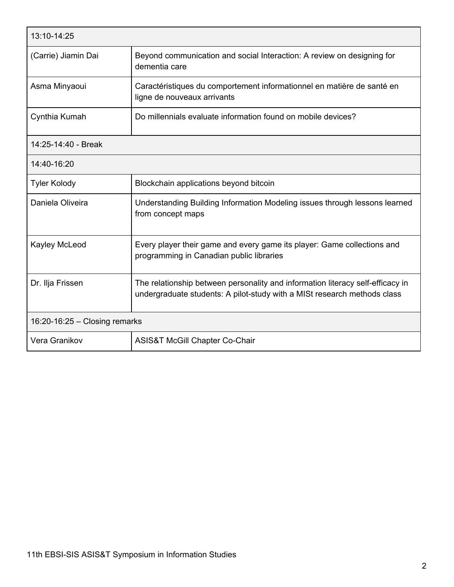| 13:10-14:25                     |                                                                                                                                                            |  |
|---------------------------------|------------------------------------------------------------------------------------------------------------------------------------------------------------|--|
| (Carrie) Jiamin Dai             | Beyond communication and social Interaction: A review on designing for<br>dementia care                                                                    |  |
| Asma Minyaoui                   | Caractéristiques du comportement informationnel en matière de santé en<br>ligne de nouveaux arrivants                                                      |  |
| Cynthia Kumah                   | Do millennials evaluate information found on mobile devices?                                                                                               |  |
| 14:25-14:40 - Break             |                                                                                                                                                            |  |
| 14:40-16:20                     |                                                                                                                                                            |  |
| <b>Tyler Kolody</b>             | Blockchain applications beyond bitcoin                                                                                                                     |  |
| Daniela Oliveira                | Understanding Building Information Modeling issues through lessons learned<br>from concept maps                                                            |  |
| Kayley McLeod                   | Every player their game and every game its player: Game collections and<br>programming in Canadian public libraries                                        |  |
| Dr. Ilja Frissen                | The relationship between personality and information literacy self-efficacy in<br>undergraduate students: A pilot-study with a MISt research methods class |  |
| $16:20-16:25$ - Closing remarks |                                                                                                                                                            |  |
| Vera Granikov                   | <b>ASIS&amp;T McGill Chapter Co-Chair</b>                                                                                                                  |  |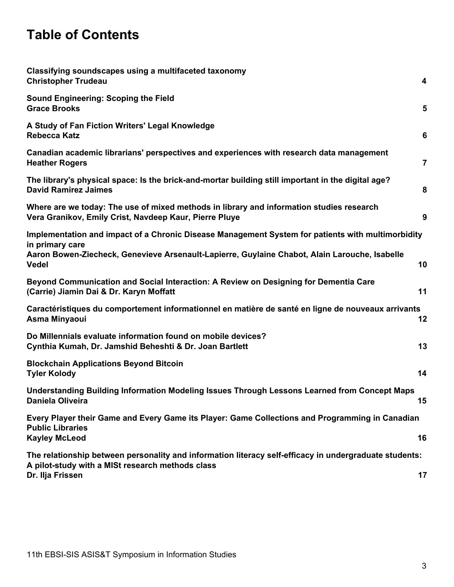## **Table of Contents**

| Classifying soundscapes using a multifaceted taxonomy<br><b>Christopher Trudeau</b>                                                                                                                                                   | 4              |
|---------------------------------------------------------------------------------------------------------------------------------------------------------------------------------------------------------------------------------------|----------------|
| <b>Sound Engineering: Scoping the Field</b><br><b>Grace Brooks</b>                                                                                                                                                                    | 5              |
| A Study of Fan Fiction Writers' Legal Knowledge<br><b>Rebecca Katz</b>                                                                                                                                                                | 6              |
| Canadian academic librarians' perspectives and experiences with research data management<br><b>Heather Rogers</b>                                                                                                                     | $\overline{7}$ |
| The library's physical space: Is the brick-and-mortar building still important in the digital age?<br><b>David Ramirez Jaimes</b>                                                                                                     | 8              |
| Where are we today: The use of mixed methods in library and information studies research<br>Vera Granikov, Emily Crist, Navdeep Kaur, Pierre Pluye                                                                                    | 9              |
| Implementation and impact of a Chronic Disease Management System for patients with multimorbidity<br>in primary care<br>Aaron Bowen-Ziecheck, Genevieve Arsenault-Lapierre, Guylaine Chabot, Alain Larouche, Isabelle<br><b>Vedel</b> | 10             |
| Beyond Communication and Social Interaction: A Review on Designing for Dementia Care<br>(Carrie) Jiamin Dai & Dr. Karyn Moffatt                                                                                                       | 11             |
| Caractéristiques du comportement informationnel en matière de santé en ligne de nouveaux arrivants<br>Asma Minyaoui                                                                                                                   | 12             |
| Do Millennials evaluate information found on mobile devices?<br>Cynthia Kumah, Dr. Jamshid Beheshti & Dr. Joan Bartlett                                                                                                               | 13             |
| <b>Blockchain Applications Beyond Bitcoin</b><br><b>Tyler Kolody</b>                                                                                                                                                                  | 14             |
| Understanding Building Information Modeling Issues Through Lessons Learned from Concept Maps<br>Daniela Oliveira                                                                                                                      | 15             |
| Every Player their Game and Every Game its Player: Game Collections and Programming in Canadian<br><b>Public Libraries</b><br><b>Kayley McLeod</b>                                                                                    | 16             |
| The relationship between personality and information literacy self-efficacy in undergraduate students:<br>A pilot-study with a MISt research methods class<br>Dr. Ilja Frissen                                                        | 17             |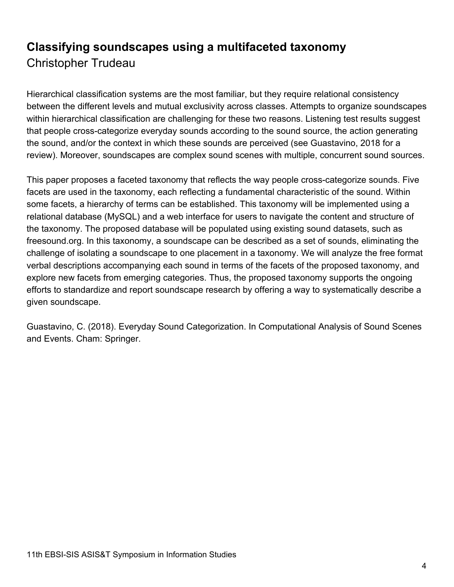## <span id="page-3-0"></span>**Classifying soundscapes using a multifaceted taxonomy** Christopher Trudeau

Hierarchical classification systems are the most familiar, but they require relational consistency between the different levels and mutual exclusivity across classes. Attempts to organize soundscapes within hierarchical classification are challenging for these two reasons. Listening test results suggest that people cross-categorize everyday sounds according to the sound source, the action generating the sound, and/or the context in which these sounds are perceived (see Guastavino, 2018 for a review). Moreover, soundscapes are complex sound scenes with multiple, concurrent sound sources.

This paper proposes a faceted taxonomy that reflects the way people cross-categorize sounds. Five facets are used in the taxonomy, each reflecting a fundamental characteristic of the sound. Within some facets, a hierarchy of terms can be established. This taxonomy will be implemented using a relational database (MySQL) and a web interface for users to navigate the content and structure of the taxonomy. The proposed database will be populated using existing sound datasets, such as freesound.org. In this taxonomy, a soundscape can be described as a set of sounds, eliminating the challenge of isolating a soundscape to one placement in a taxonomy. We will analyze the free format verbal descriptions accompanying each sound in terms of the facets of the proposed taxonomy, and explore new facets from emerging categories. Thus, the proposed taxonomy supports the ongoing efforts to standardize and report soundscape research by offering a way to systematically describe a given soundscape.

Guastavino, C. (2018). Everyday Sound Categorization. In Computational Analysis of Sound Scenes and Events. Cham: Springer.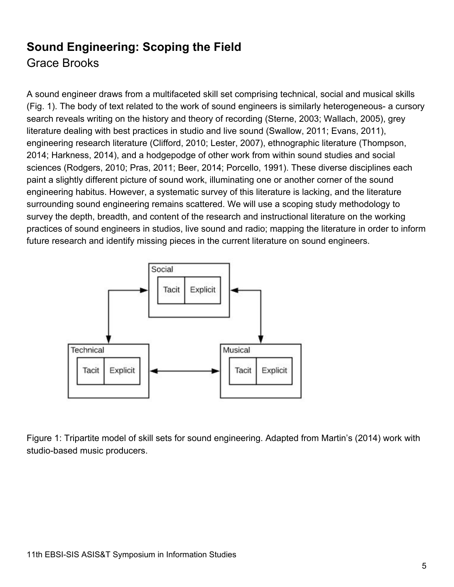## <span id="page-4-0"></span>**Sound Engineering: Scoping the Field** Grace Brooks

A sound engineer draws from a multifaceted skill set comprising technical, social and musical skills (Fig. 1). The body of text related to the work of sound engineers is similarly heterogeneous- a cursory search reveals writing on the history and theory of recording (Sterne, 2003; Wallach, 2005), grey literature dealing with best practices in studio and live sound (Swallow, 2011; Evans, 2011), engineering research literature (Clifford, 2010; Lester, 2007), ethnographic literature (Thompson, 2014; Harkness, 2014), and a hodgepodge of other work from within sound studies and social sciences (Rodgers, 2010; Pras, 2011; Beer, 2014; Porcello, 1991). These diverse disciplines each paint a slightly different picture of sound work, illuminating one or another corner of the sound engineering habitus. However, a systematic survey of this literature is lacking, and the literature surrounding sound engineering remains scattered. We will use a scoping study methodology to survey the depth, breadth, and content of the research and instructional literature on the working practices of sound engineers in studios, live sound and radio; mapping the literature in order to inform future research and identify missing pieces in the current literature on sound engineers.



Figure 1: Tripartite model of skill sets for sound engineering. Adapted from Martin's (2014) work with studio-based music producers.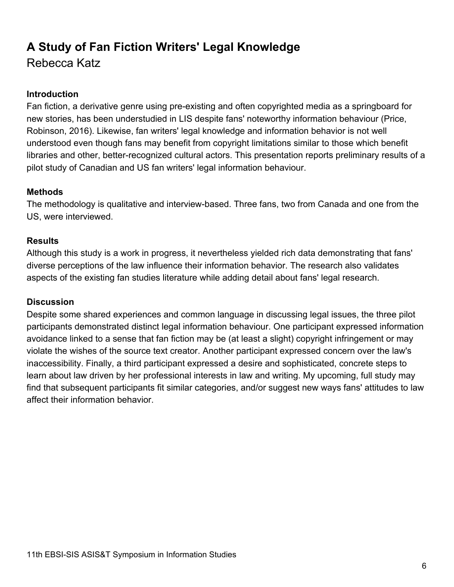# <span id="page-5-0"></span>**A Study of Fan Fiction Writers' Legal Knowledge**

Rebecca Katz

## **Introduction**

Fan fiction, a derivative genre using pre-existing and often copyrighted media as a springboard for new stories, has been understudied in LIS despite fans' noteworthy information behaviour (Price, Robinson, 2016). Likewise, fan writers' legal knowledge and information behavior is not well understood even though fans may benefit from copyright limitations similar to those which benefit libraries and other, better-recognized cultural actors. This presentation reports preliminary results of a pilot study of Canadian and US fan writers' legal information behaviour.

## **Methods**

The methodology is qualitative and interview-based. Three fans, two from Canada and one from the US, were interviewed.

## **Results**

Although this study is a work in progress, it nevertheless yielded rich data demonstrating that fans' diverse perceptions of the law influence their information behavior. The research also validates aspects of the existing fan studies literature while adding detail about fans' legal research.

## **Discussion**

Despite some shared experiences and common language in discussing legal issues, the three pilot participants demonstrated distinct legal information behaviour. One participant expressed information avoidance linked to a sense that fan fiction may be (at least a slight) copyright infringement or may violate the wishes of the source text creator. Another participant expressed concern over the law's inaccessibility. Finally, a third participant expressed a desire and sophisticated, concrete steps to learn about law driven by her professional interests in law and writing. My upcoming, full study may find that subsequent participants fit similar categories, and/or suggest new ways fans' attitudes to law affect their information behavior.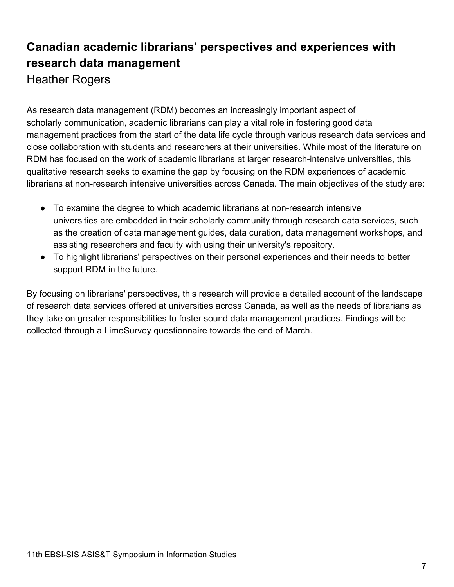## <span id="page-6-0"></span>**Canadian academic librarians' perspectives and experiences with research data management** Heather Rogers

As research data management (RDM) becomes an increasingly important aspect of scholarly communication, academic librarians can play a vital role in fostering good data management practices from the start of the data life cycle through various research data services and close collaboration with students and researchers at their universities. While most of the literature on RDM has focused on the work of academic librarians at larger research-intensive universities, this qualitative research seeks to examine the gap by focusing on the RDM experiences of academic librarians at non-research intensive universities across Canada. The main objectives of the study are:

- To examine the degree to which academic librarians at non-research intensive universities are embedded in their scholarly community through research data services, such as the creation of data management guides, data curation, data management workshops, and assisting researchers and faculty with using their university's repository.
- To highlight librarians' perspectives on their personal experiences and their needs to better support RDM in the future.

By focusing on librarians' perspectives, this research will provide a detailed account of the landscape of research data services offered at universities across Canada, as well as the needs of librarians as they take on greater responsibilities to foster sound data management practices. Findings will be collected through a LimeSurvey questionnaire towards the end of March.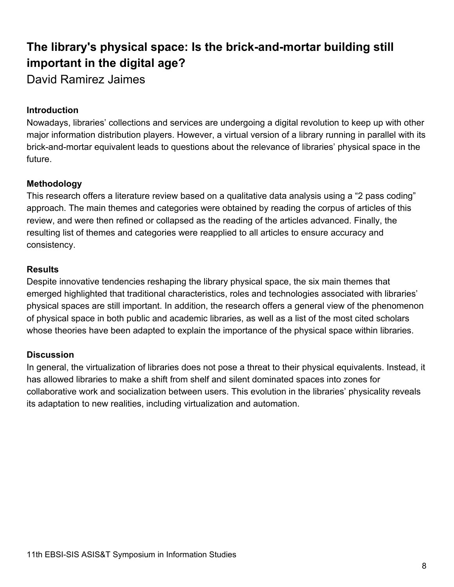# <span id="page-7-0"></span>**The library's physical space: Is the brick-and-mortar building still important in the digital age?**

David Ramirez Jaimes

## **Introduction**

Nowadays, libraries' collections and services are undergoing a digital revolution to keep up with other major information distribution players. However, a virtual version of a library running in parallel with its brick-and-mortar equivalent leads to questions about the relevance of libraries' physical space in the future.

### **Methodology**

This research offers a literature review based on a qualitative data analysis using a "2 pass coding" approach. The main themes and categories were obtained by reading the corpus of articles of this review, and were then refined or collapsed as the reading of the articles advanced. Finally, the resulting list of themes and categories were reapplied to all articles to ensure accuracy and consistency.

## **Results**

Despite innovative tendencies reshaping the library physical space, the six main themes that emerged highlighted that traditional characteristics, roles and technologies associated with libraries' physical spaces are still important. In addition, the research offers a general view of the phenomenon of physical space in both public and academic libraries, as well as a list of the most cited scholars whose theories have been adapted to explain the importance of the physical space within libraries.

### **Discussion**

In general, the virtualization of libraries does not pose a threat to their physical equivalents. Instead, it has allowed libraries to make a shift from shelf and silent dominated spaces into zones for collaborative work and socialization between users. This evolution in the libraries' physicality reveals its adaptation to new realities, including virtualization and automation.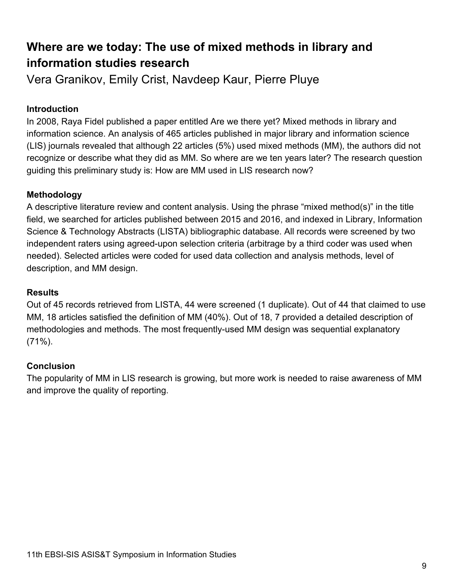## <span id="page-8-0"></span>**Where are we today: The use of mixed methods in library and information studies research**

Vera Granikov, Emily Crist, Navdeep Kaur, Pierre Pluye

## **Introduction**

In 2008, Raya Fidel published a paper entitled Are we there yet? Mixed methods in library and information science. An analysis of 465 articles published in major library and information science (LIS) journals revealed that although 22 articles (5%) used mixed methods (MM), the authors did not recognize or describe what they did as MM. So where are we ten years later? The research question guiding this preliminary study is: How are MM used in LIS research now?

### **Methodology**

A descriptive literature review and content analysis. Using the phrase "mixed method(s)" in the title field, we searched for articles published between 2015 and 2016, and indexed in Library, Information Science & Technology Abstracts (LISTA) bibliographic database. All records were screened by two independent raters using agreed-upon selection criteria (arbitrage by a third coder was used when needed). Selected articles were coded for used data collection and analysis methods, level of description, and MM design.

#### **Results**

Out of 45 records retrieved from LISTA, 44 were screened (1 duplicate). Out of 44 that claimed to use MM, 18 articles satisfied the definition of MM (40%). Out of 18, 7 provided a detailed description of methodologies and methods. The most frequently-used MM design was sequential explanatory (71%).

### **Conclusion**

The popularity of MM in LIS research is growing, but more work is needed to raise awareness of MM and improve the quality of reporting.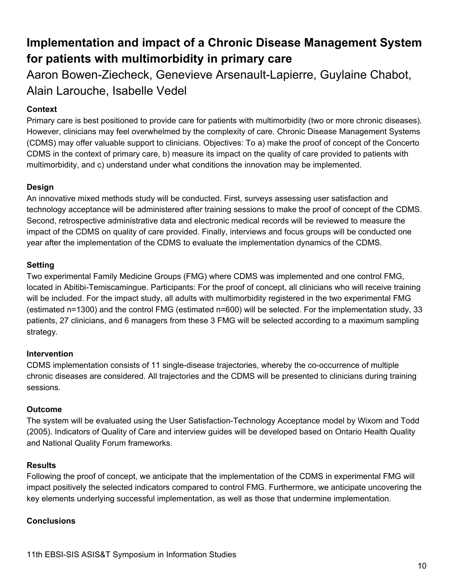## <span id="page-9-0"></span>**Implementation and impact of a Chronic Disease Management System for patients with multimorbidity in primary care**

Aaron Bowen-Ziecheck, Genevieve Arsenault-Lapierre, Guylaine Chabot, Alain Larouche, Isabelle Vedel

## **Context**

Primary care is best positioned to provide care for patients with multimorbidity (two or more chronic diseases). However, clinicians may feel overwhelmed by the complexity of care. Chronic Disease Management Systems (CDMS) may offer valuable support to clinicians. Objectives: To a) make the proof of concept of the Concerto CDMS in the context of primary care, b) measure its impact on the quality of care provided to patients with multimorbidity, and c) understand under what conditions the innovation may be implemented.

### **Design**

An innovative mixed methods study will be conducted. First, surveys assessing user satisfaction and technology acceptance will be administered after training sessions to make the proof of concept of the CDMS. Second, retrospective administrative data and electronic medical records will be reviewed to measure the impact of the CDMS on quality of care provided. Finally, interviews and focus groups will be conducted one year after the implementation of the CDMS to evaluate the implementation dynamics of the CDMS.

### **Setting**

Two experimental Family Medicine Groups (FMG) where CDMS was implemented and one control FMG, located in Abitibi-Temiscamingue. Participants: For the proof of concept, all clinicians who will receive training will be included. For the impact study, all adults with multimorbidity registered in the two experimental FMG (estimated n=1300) and the control FMG (estimated n=600) will be selected. For the implementation study, 33 patients, 27 clinicians, and 6 managers from these 3 FMG will be selected according to a maximum sampling strategy.

### **Intervention**

CDMS implementation consists of 11 single-disease trajectories, whereby the co-occurrence of multiple chronic diseases are considered. All trajectories and the CDMS will be presented to clinicians during training sessions.

#### **Outcome**

The system will be evaluated using the User Satisfaction-Technology Acceptance model by Wixom and Todd (2005). Indicators of Quality of Care and interview guides will be developed based on Ontario Health Quality and National Quality Forum frameworks.

#### **Results**

Following the proof of concept, we anticipate that the implementation of the CDMS in experimental FMG will impact positively the selected indicators compared to control FMG. Furthermore, we anticipate uncovering the key elements underlying successful implementation, as well as those that undermine implementation.

#### **Conclusions**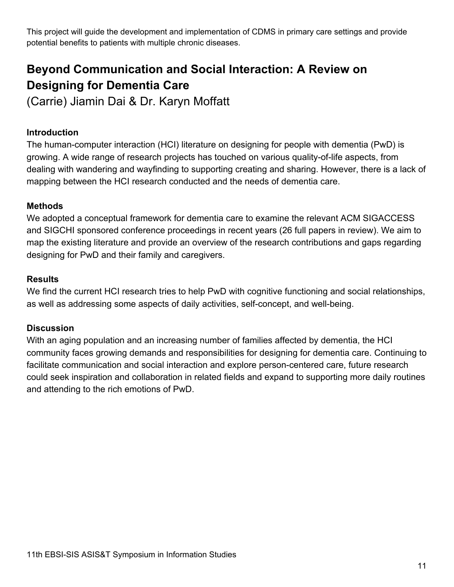This project will guide the development and implementation of CDMS in primary care settings and provide potential benefits to patients with multiple chronic diseases.

## <span id="page-10-0"></span>**Beyond Communication and Social Interaction: A Review on Designing for Dementia Care**

(Carrie) Jiamin Dai & Dr. Karyn Moffatt

## **Introduction**

The human-computer interaction (HCI) literature on designing for people with dementia (PwD) is growing. A wide range of research projects has touched on various quality-of-life aspects, from dealing with wandering and wayfinding to supporting creating and sharing. However, there is a lack of mapping between the HCI research conducted and the needs of dementia care.

## **Methods**

We adopted a conceptual framework for dementia care to examine the relevant ACM SIGACCESS and SIGCHI sponsored conference proceedings in recent years (26 full papers in review). We aim to map the existing literature and provide an overview of the research contributions and gaps regarding designing for PwD and their family and caregivers.

### **Results**

We find the current HCI research tries to help PwD with cognitive functioning and social relationships, as well as addressing some aspects of daily activities, self-concept, and well-being.

## **Discussion**

With an aging population and an increasing number of families affected by dementia, the HCI community faces growing demands and responsibilities for designing for dementia care. Continuing to facilitate communication and social interaction and explore person-centered care, future research could seek inspiration and collaboration in related fields and expand to supporting more daily routines and attending to the rich emotions of PwD.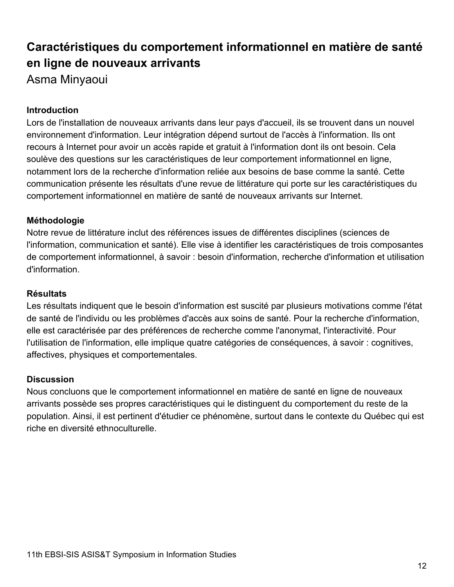## <span id="page-11-0"></span>**Caractéristiques du comportement informationnel en matière de santé en ligne de nouveaux arrivants** Asma Minyaoui

### **Introduction**

Lors de l'installation de nouveaux arrivants dans leur pays d'accueil, ils se trouvent dans un nouvel environnement d'information. Leur intégration dépend surtout de l'accès à l'information. Ils ont recours à Internet pour avoir un accès rapide et gratuit à l'information dont ils ont besoin. Cela soulève des questions sur les caractéristiques de leur comportement informationnel en ligne, notamment lors de la recherche d'information reliée aux besoins de base comme la santé. Cette communication présente les résultats d'une revue de littérature qui porte sur les caractéristiques du comportement informationnel en matière de santé de nouveaux arrivants sur Internet.

#### **Méthodologie**

Notre revue de littérature inclut des références issues de différentes disciplines (sciences de l'information, communication et santé). Elle vise à identifier les caractéristiques de trois composantes de comportement informationnel, à savoir : besoin d'information, recherche d'information et utilisation d'information.

#### **Résultats**

Les résultats indiquent que le besoin d'information est suscité par plusieurs motivations comme l'état de santé de l'individu ou les problèmes d'accès aux soins de santé. Pour la recherche d'information, elle est caractérisée par des préférences de recherche comme l'anonymat, l'interactivité. Pour l'utilisation de l'information, elle implique quatre catégories de conséquences, à savoir : cognitives, affectives, physiques et comportementales.

#### **Discussion**

Nous concluons que le comportement informationnel en matière de santé en ligne de nouveaux arrivants possède ses propres caractéristiques qui le distinguent du comportement du reste de la population. Ainsi, il est pertinent d'étudier ce phénomène, surtout dans le contexte du Québec qui est riche en diversité ethnoculturelle.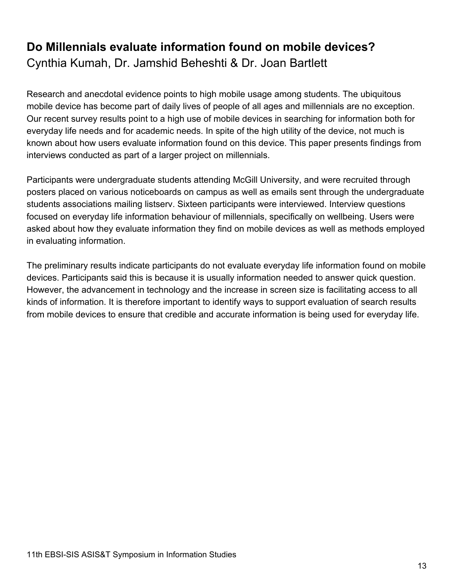## <span id="page-12-0"></span>**Do Millennials evaluate information found on mobile devices?** Cynthia Kumah, Dr. Jamshid Beheshti & Dr. Joan Bartlett

Research and anecdotal evidence points to high mobile usage among students. The ubiquitous mobile device has become part of daily lives of people of all ages and millennials are no exception. Our recent survey results point to a high use of mobile devices in searching for information both for everyday life needs and for academic needs. In spite of the high utility of the device, not much is known about how users evaluate information found on this device. This paper presents findings from interviews conducted as part of a larger project on millennials.

Participants were undergraduate students attending McGill University, and were recruited through posters placed on various noticeboards on campus as well as emails sent through the undergraduate students associations mailing listserv. Sixteen participants were interviewed. Interview questions focused on everyday life information behaviour of millennials, specifically on wellbeing. Users were asked about how they evaluate information they find on mobile devices as well as methods employed in evaluating information.

The preliminary results indicate participants do not evaluate everyday life information found on mobile devices. Participants said this is because it is usually information needed to answer quick question. However, the advancement in technology and the increase in screen size is facilitating access to all kinds of information. It is therefore important to identify ways to support evaluation of search results from mobile devices to ensure that credible and accurate information is being used for everyday life.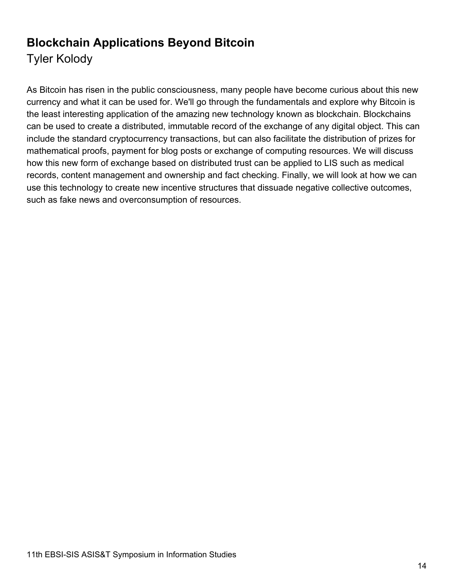## <span id="page-13-0"></span>**Blockchain Applications Beyond Bitcoin** Tyler Kolody

As Bitcoin has risen in the public consciousness, many people have become curious about this new currency and what it can be used for. We'll go through the fundamentals and explore why Bitcoin is the least interesting application of the amazing new technology known as blockchain. Blockchains can be used to create a distributed, immutable record of the exchange of any digital object. This can include the standard cryptocurrency transactions, but can also facilitate the distribution of prizes for mathematical proofs, payment for blog posts or exchange of computing resources. We will discuss how this new form of exchange based on distributed trust can be applied to LIS such as medical records, content management and ownership and fact checking. Finally, we will look at how we can use this technology to create new incentive structures that dissuade negative collective outcomes, such as fake news and overconsumption of resources.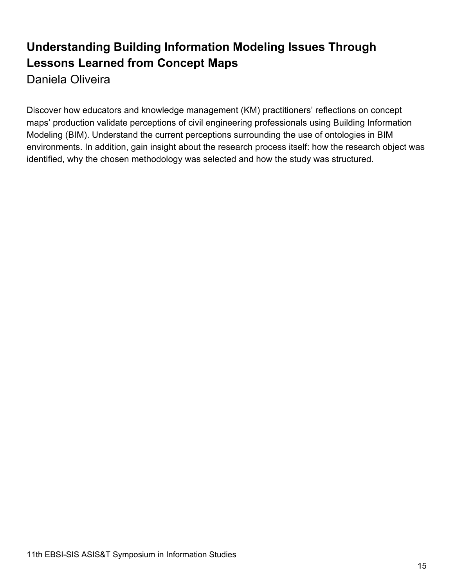## <span id="page-14-0"></span>**Understanding Building Information Modeling Issues Through Lessons Learned from Concept Maps** Daniela Oliveira

Discover how educators and knowledge management (KM) practitioners' reflections on concept maps' production validate perceptions of civil engineering professionals using Building Information Modeling (BIM). Understand the current perceptions surrounding the use of ontologies in BIM environments. In addition, gain insight about the research process itself: how the research object was identified, why the chosen methodology was selected and how the study was structured.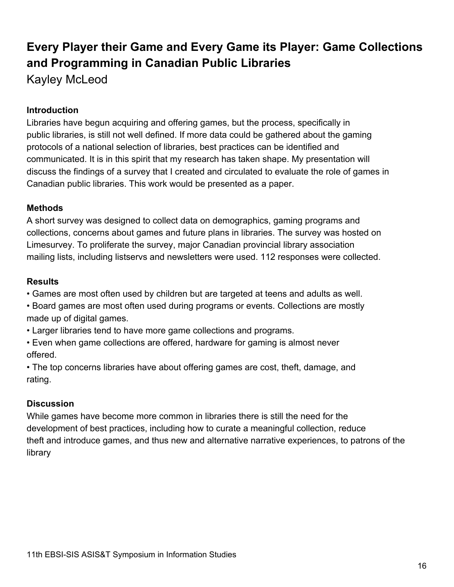## <span id="page-15-0"></span>**Every Player their Game and Every Game its Player: Game Collections and Programming in Canadian Public Libraries** Kayley McLeod

#### **Introduction**

Libraries have begun acquiring and offering games, but the process, specifically in public libraries, is still not well defined. If more data could be gathered about the gaming protocols of a national selection of libraries, best practices can be identified and communicated. It is in this spirit that my research has taken shape. My presentation will discuss the findings of a survey that I created and circulated to evaluate the role of games in Canadian public libraries. This work would be presented as a paper.

#### **Methods**

A short survey was designed to collect data on demographics, gaming programs and collections, concerns about games and future plans in libraries. The survey was hosted on Limesurvey. To proliferate the survey, major Canadian provincial library association mailing lists, including listservs and newsletters were used. 112 responses were collected.

#### **Results**

• Games are most often used by children but are targeted at teens and adults as well.

• Board games are most often used during programs or events. Collections are mostly made up of digital games.

• Larger libraries tend to have more game collections and programs.

• Even when game collections are offered, hardware for gaming is almost never offered.

• The top concerns libraries have about offering games are cost, theft, damage, and rating.

#### **Discussion**

While games have become more common in libraries there is still the need for the development of best practices, including how to curate a meaningful collection, reduce theft and introduce games, and thus new and alternative narrative experiences, to patrons of the library